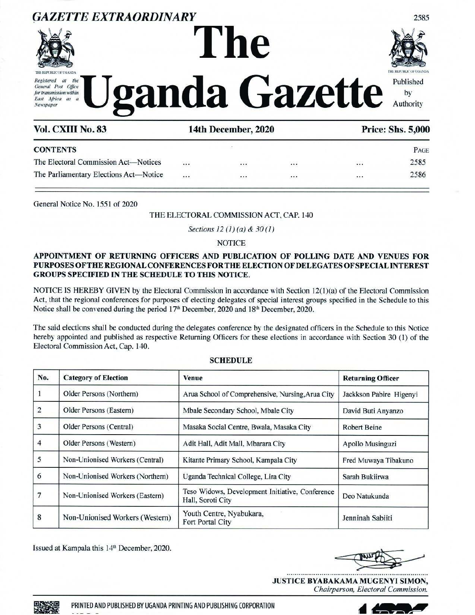

# GAZETTE EXTRAORDINARY<br>ASS THE REPUBLIC OF UGANDA THE REPUBLIC OF UGANDA THE REPUBLIC OF UGANDA THE REPUBLIC OF UGANDA THE REPUBLIC OF UGA  $R_{egstered}$  at the  $T$   $T$   $T$   $T$   $T$   $T$   $T$   $T$  $T$  $T$  $T$  $T$  $T$  $T$  $E_{\text{as}i}$  Africa as a  $\bigcup$  **2 differential della della della della della della della della della della della della della della della della della della della della della della della della della della della della della d** GAZETTE EXTRAORDINARY<br>
ASSESSED TO THE RESEARCH TRANSPORT TO THE CONTROL TO CONTROL THE CONTROL OF CONTROL OF THE CONTROL OF THE CONTROL OF THE CONTROL OF THE CONTROL OF THE CONTROL OF THE CONTROL OF THE CONTROL OF THE CON GAZETTE EXTRAORDINARY<br>
ASSESSED TO THE CONTRACT CONTRACT CONTRACT THE CONTRACT OF CONTRACT CONTRACT CONTRACT CONTRACT OF CONTRACT OF CONTRACT ON A CONTRACT OF CONTRACT ON A DECEMBER OF CONTRACT ON A DECEMBER OF CONTRACT OF



|               | GAZETTE EXTRAORDINARY                                                                                                                                                                                                                                           |              |                              |                                                  |                          | 2585                                |
|---------------|-----------------------------------------------------------------------------------------------------------------------------------------------------------------------------------------------------------------------------------------------------------------|--------------|------------------------------|--------------------------------------------------|--------------------------|-------------------------------------|
|               |                                                                                                                                                                                                                                                                 |              | The                          |                                                  |                          |                                     |
|               |                                                                                                                                                                                                                                                                 |              |                              |                                                  |                          |                                     |
| Registered at | THE REPUBLIC OF UGANDA<br>the                                                                                                                                                                                                                                   |              |                              |                                                  |                          | THE REPORT OF LIGANITY<br>Published |
|               | General Post Office<br>for transmission within<br>East Africa as a                                                                                                                                                                                              |              |                              | ganda Gazette                                    |                          | by                                  |
| Newspaper     |                                                                                                                                                                                                                                                                 |              |                              |                                                  |                          | Authority                           |
|               | Vol. CXIII No. 83                                                                                                                                                                                                                                               |              | 14th December, 2020          |                                                  |                          | <b>Price: Shs. 5,000</b>            |
|               | <b>CONTENTS</b>                                                                                                                                                                                                                                                 |              |                              |                                                  |                          | PAGE                                |
|               | The Electoral Commission Act-Notices                                                                                                                                                                                                                            |              |                              |                                                  |                          | 2585<br>2586                        |
|               | The Parliamentary Elections Act-Notice                                                                                                                                                                                                                          |              |                              | $\cdots$                                         |                          |                                     |
|               | General Notice No. 1551 of 2020                                                                                                                                                                                                                                 |              |                              |                                                  |                          |                                     |
|               |                                                                                                                                                                                                                                                                 |              |                              | THE ELECTORAL COMMISSION ACT, CAP. 140           |                          |                                     |
|               |                                                                                                                                                                                                                                                                 |              |                              |                                                  |                          |                                     |
|               |                                                                                                                                                                                                                                                                 |              | Sections 12 (1) (a) & 30 (1) |                                                  |                          |                                     |
|               |                                                                                                                                                                                                                                                                 |              | <b>NOTICE</b>                |                                                  |                          |                                     |
|               | APPOINTMENT OF RETURNING OFFICERS AND PUBLICATION OF POLLING DATE AND VENUES FOR<br>PURPOSES OF THE REGIONAL CONFERENCES FOR THE ELECTION OF DELEGATES OF SPECIAL INTEREST<br><b>GROUPS SPECIFIED IN THE SCHEDULE TO THIS NOTICE.</b>                           |              |                              |                                                  |                          |                                     |
|               | NOTICE IS HEREBY GIVEN by the Electoral Commission in accordance with Section 12(1)(a) of the Electoral Commission                                                                                                                                              |              |                              |                                                  |                          |                                     |
|               | Act, that the regional conferences for purposes of electing delegates of special interest groups specified in the Schedule to this<br>Notice shall be convened during the period 17 <sup>th</sup> December, 2020 and 18 <sup>th</sup> December, 2020.           |              |                              |                                                  |                          |                                     |
|               |                                                                                                                                                                                                                                                                 |              |                              |                                                  |                          |                                     |
|               | The said elections shall be conducted during the delegates conference by the designated officers in the Schedule to this Notice<br>hereby appointed and published as respective Returning Officers for these elections in accordance with Section 30 (1) of the |              |                              |                                                  |                          |                                     |
|               | Electoral Commission Act, Cap. 140.                                                                                                                                                                                                                             |              | <b>SCHEDULE</b>              |                                                  |                          |                                     |
| No.           | <b>Category of Election</b>                                                                                                                                                                                                                                     | <b>Venue</b> |                              |                                                  | <b>Returning Officer</b> |                                     |
| 1             | Older Persons (Northern)                                                                                                                                                                                                                                        |              |                              | Arua School of Comprehensive, Nursing, Arua City | Jackkson Pabire Higenyi  |                                     |

#### THE ELECTORAL COMMISSION ACT, CAP. 140

# **NOTICE**

# APPOINTMENT OF RETURNING OFFICERS AND PUBLICATION OF POLLING DATE AND VENUES FOR PURPOSES OF THE REGIONAL CONFERENCES FOR THE ELECTION OF DELEGATES OF SPECIALINTEREST GROUPS SPECIFIED IN THE SCHEDULE TO THIS NOTICE.

#### **SCHEDULE**

|                  | Vol. CXIII No. 83                                       | <b>Uganda Gazette</b><br>14th December, 2020                                                                                       |                          | <b>Price: Shs. 5,000</b> |
|------------------|---------------------------------------------------------|------------------------------------------------------------------------------------------------------------------------------------|--------------------------|--------------------------|
|                  | <b>CONTENTS</b>                                         |                                                                                                                                    |                          | PAGE                     |
|                  | The Electoral Commission Act—Notices                    | <br><br>                                                                                                                           |                          | 2585                     |
|                  | The Parliamentary Elections Act-Notice                  |                                                                                                                                    | $\cdots$                 | 2586                     |
|                  | General Notice No. 1551 of 2020                         |                                                                                                                                    |                          |                          |
|                  |                                                         | THE ELECTORAL COMMISSION ACT, CAP. 140<br>Sections 12 (1) (a) & 30 (1)                                                             |                          |                          |
|                  |                                                         | <b>NOTICE</b>                                                                                                                      |                          |                          |
|                  |                                                         | APPOINTMENT OF RETURNING OFFICERS AND PUBLICATION OF POLLING DATE AND VENUES FOR                                                   |                          |                          |
|                  |                                                         |                                                                                                                                    |                          |                          |
|                  |                                                         | PURPOSES OF THE REGIONAL CONFERENCES FOR THE ELECTION OF DELEGATES OF SPECIAL INTEREST                                             |                          |                          |
|                  | <b>GROUPS SPECIFIED IN THE SCHEDULE TO THIS NOTICE.</b> |                                                                                                                                    |                          |                          |
|                  |                                                         | NOTICE IS HEREBY GIVEN by the Electoral Commission in accordance with Section $12(1)(a)$ of the Electoral Commission               |                          |                          |
|                  |                                                         | Act, that the regional conferences for purposes of electing delegates of special interest groups specified in the Schedule to this |                          |                          |
|                  |                                                         | Notice shall be convened during the period 17th December, 2020 and 18th December, 2020.                                            |                          |                          |
|                  |                                                         | The said elections shall be conducted during the delegates conference by the designated officers in the Schedule to this Notice    |                          |                          |
|                  | Electoral Commission Act, Cap. 140.                     | hereby appointed and published as respective Returning Officers for these elections in accordance with Section 30 (1) of the       |                          |                          |
|                  |                                                         | <b>SCHEDULE</b>                                                                                                                    |                          |                          |
| No.              | <b>Category of Election</b>                             | Venue                                                                                                                              | <b>Returning Officer</b> |                          |
| $\mathbf{1}$     | Older Persons (Northern)                                | Arua School of Comprehensive, Nursing, Arua City                                                                                   | Jackkson Pabire Higenyi  |                          |
| $\mathbf 2$      | Older Persons (Eastern)                                 | Mbale Secondary School, Mbale City                                                                                                 | David Buti Anyanzo       |                          |
| 3                | Older Persons (Central)                                 | Masaka Social Centre, Bwala, Masaka City                                                                                           | <b>Robert Beine</b>      |                          |
| 4                | Older Persons (Western)                                 | Adit Hall, Adit Mall, Mbarara City                                                                                                 | Apollo Musinguzi         |                          |
| 5                | Non-Unionised Workers (Central)                         | Kitante Primary School, Kampala City                                                                                               | Fred Muwaya Tibakuno     |                          |
| $\boldsymbol{6}$ | Non-Unionised Workers (Northern)                        | Uganda Technical College, Lira City                                                                                                | Sarah Bukiirwa           |                          |
| 7                | Non-Unionised Workers (Eastern)                         | Teso Widows, Development Initiative, Conference<br>Hall, Soroti City                                                               | Deo Natukunda            |                          |